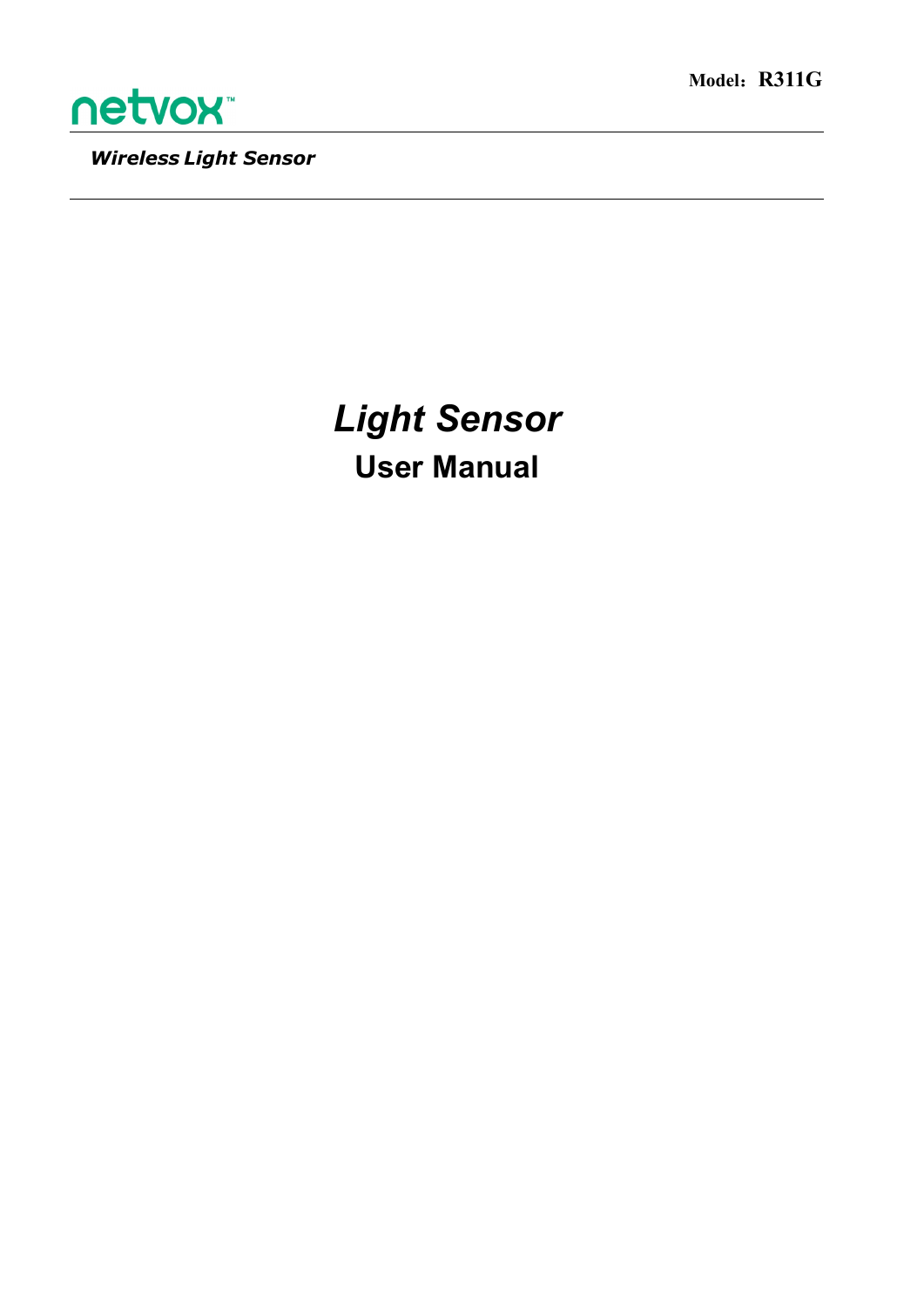

*Wireless Light Sensor*

# *Light Sensor* **User Manual**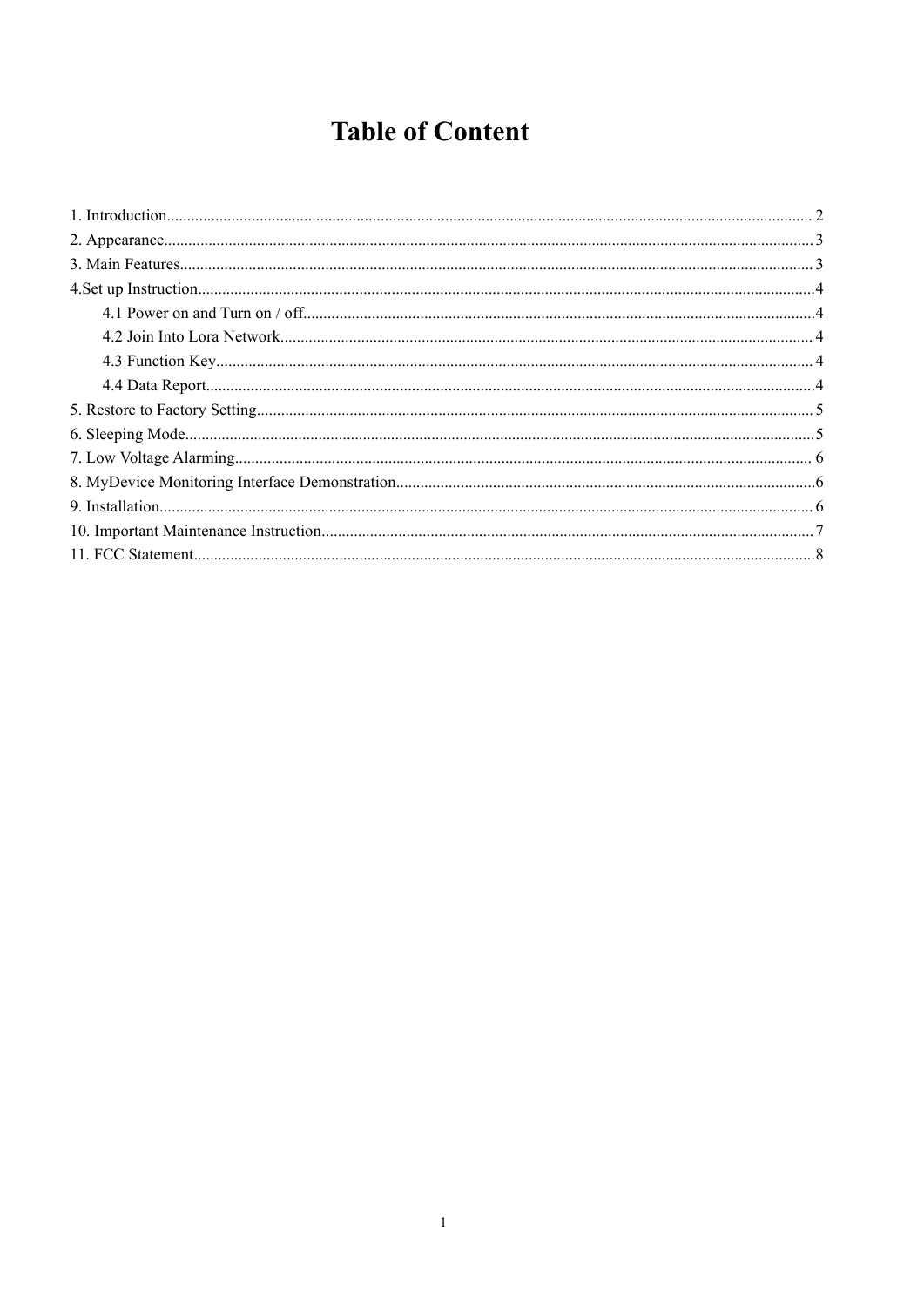## **Table of Content**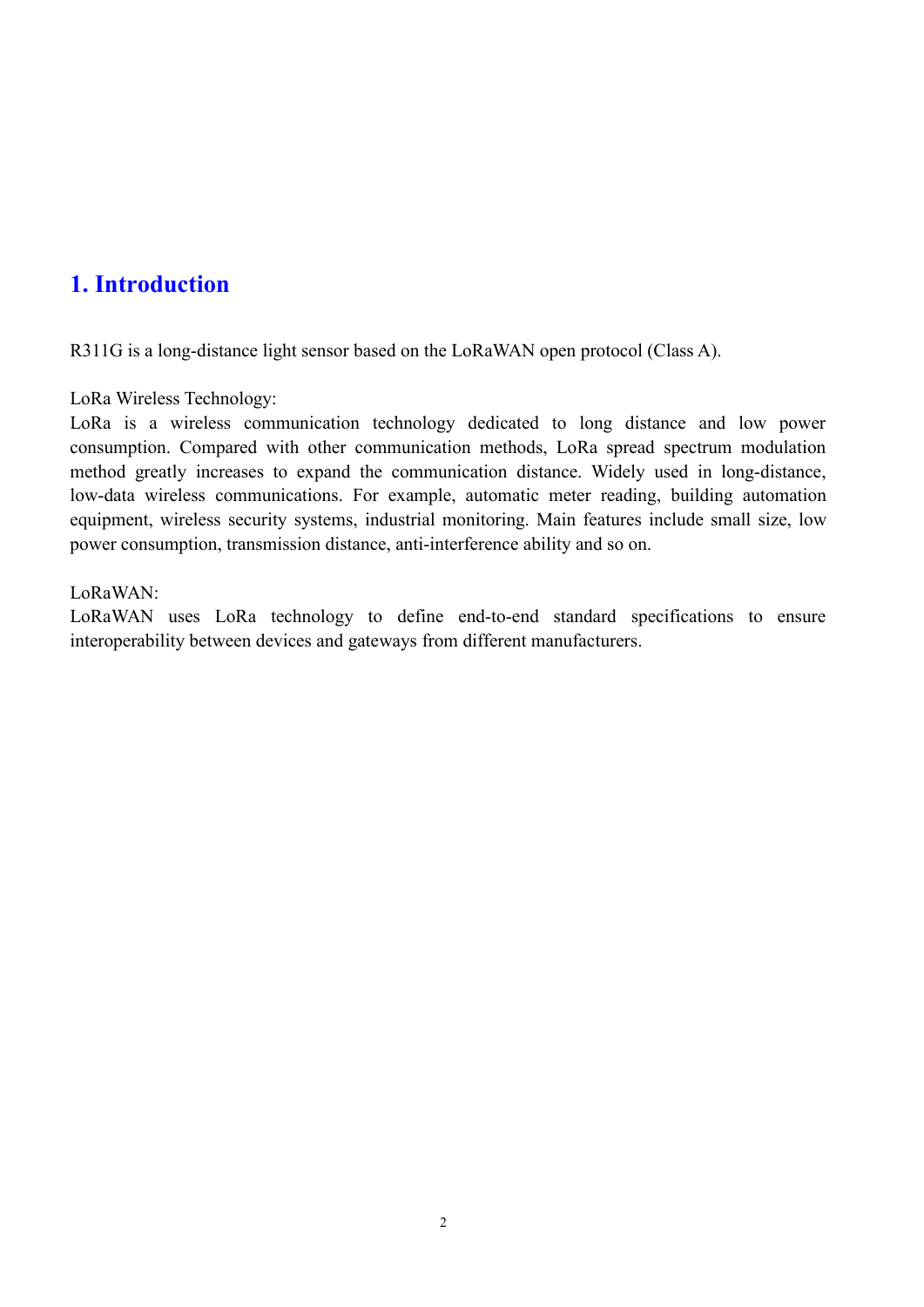## <span id="page-2-0"></span>**1. Introduction**

R311G is a long-distance light sensor based on the LoRaWAN open protocol (Class A).

LoRa Wireless Technology:

LoRa is a wireless communication technology dedicated to long distance and low power consumption. Compared with other communication methods, LoRa spread spectrum modulation method greatly increases to expand the communication distance. Widely used in long-distance, low-data wireless communications. For example, automatic meter reading, building automation equipment, wireless security systems, industrial monitoring. Main features include small size, low power consumption, transmission distance, anti-interference ability and so on.

#### LoRaWAN:

LoRaWAN uses LoRa technology to define end-to-end standard specifications to ensure interoperability between devices and gateways from different manufacturers.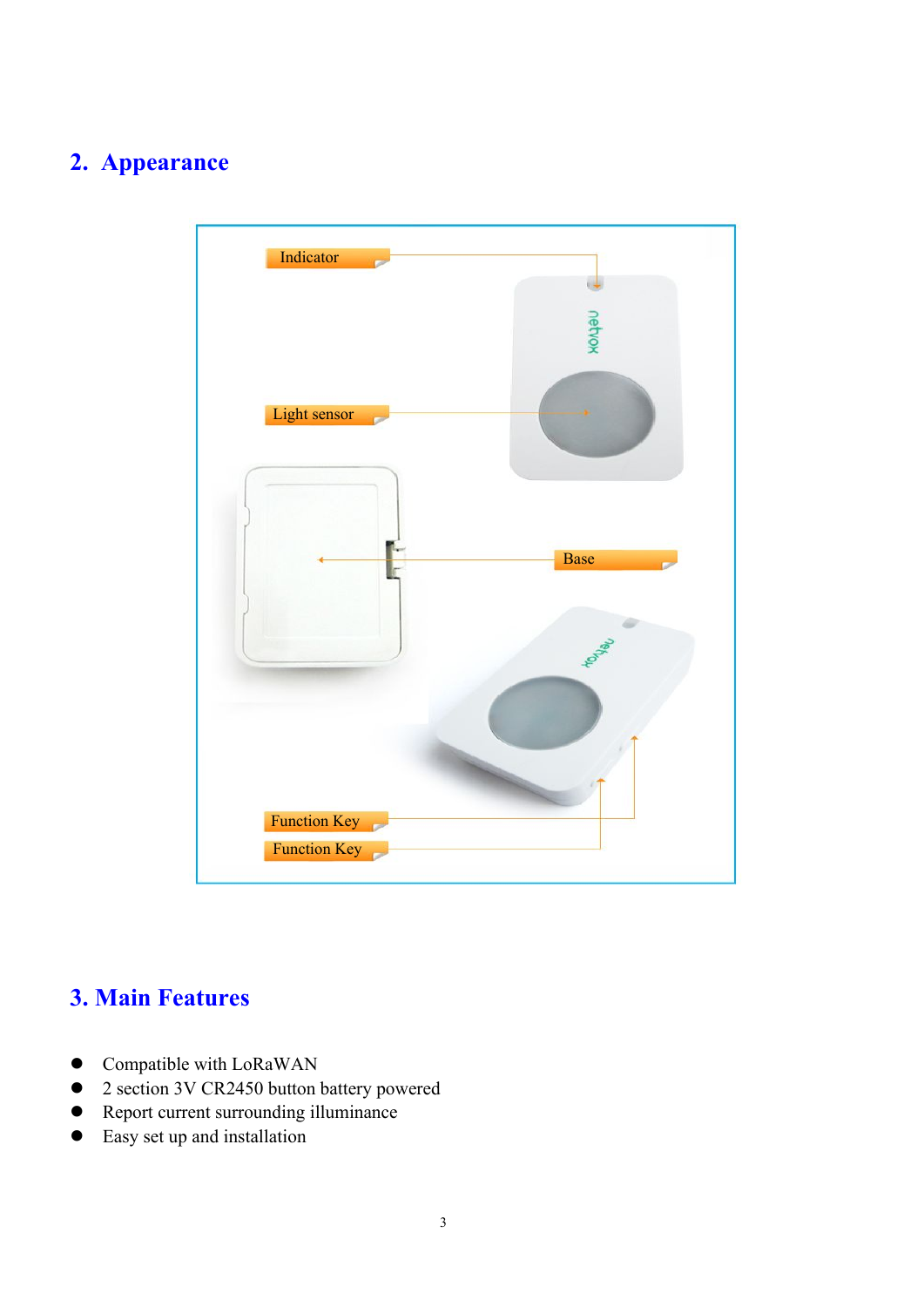## <span id="page-3-1"></span><span id="page-3-0"></span>**2. Appearance**



## **3. Main Features**

- Compatible with LoRaWAN
- 2 section 3V CR2450 button battery powered
- Report current surrounding illuminance
- Easy set up and installation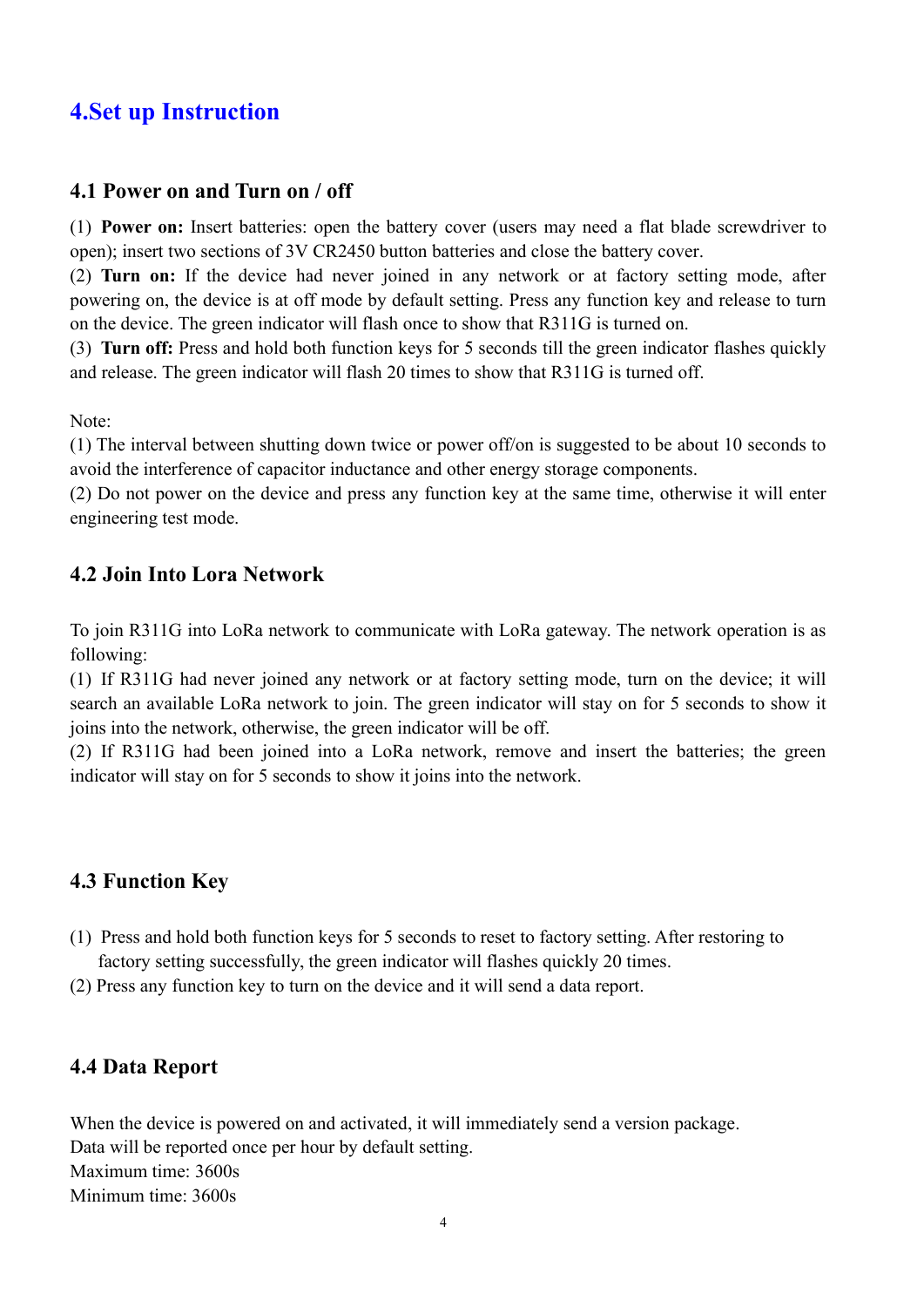## <span id="page-4-0"></span>**4.Set up Instruction**

#### **4.1 Power on and Turn on / off**

(1) **Power on:** Insert batteries: open the battery cover (users may need a flat blade screwdriver to open); insert two sections of3V CR2450 button batteries and close the battery cover.

(2) **Turn on:** If the device had never joined in any network or at factory setting mode, after powering on, the device is at off mode by default setting. Press any function key and release to turn on the device. The green indicator will flash once to show that R311G is turned on.

(3) **Turn off:** Press and hold both function keysfor 5 seconds till the green indicator flashes quickly and release. The green indicator will flash 20 times to show that R311G is turned off.

Note:

(1) The interval between shutting down twice or power off/on is suggested to be about 10 seconds to avoid the interference of capacitor inductance and other energy storage components.

(2) Do not power on the device and press any function key at the same time, otherwise it will enter engineering test mode.

#### **4.2 Join Into Lora Network**

To join R311G into LoRa network to communicate with LoRa gateway. The network operation is as following:

(1) If R311G had never joined any network or at factory setting mode, turn on the device; it will search an available LoRa network to join. The green indicator will stay on for 5 seconds to show it joins into the network, otherwise, the green indicator will be off.

(2) If R311G had been joined into a LoRa network, remove and insert the batteries; the green indicator will stay on for 5 seconds to show it joins into the network.

#### **4.3 Function Key**

- (1) Press and hold both function keysfor 5 seconds to reset to factory setting. After restoring to factory setting successfully, the green indicator will flashes quickly 20 times.
- (2) Press any function key to turn on the device and it will send a data report.

#### **4.4 Data Report**

When the device is powered on and activated, it will immediately send a version package. Data will be reported once per hour by default setting. Maximum time: 3600s Minimum time: 3600s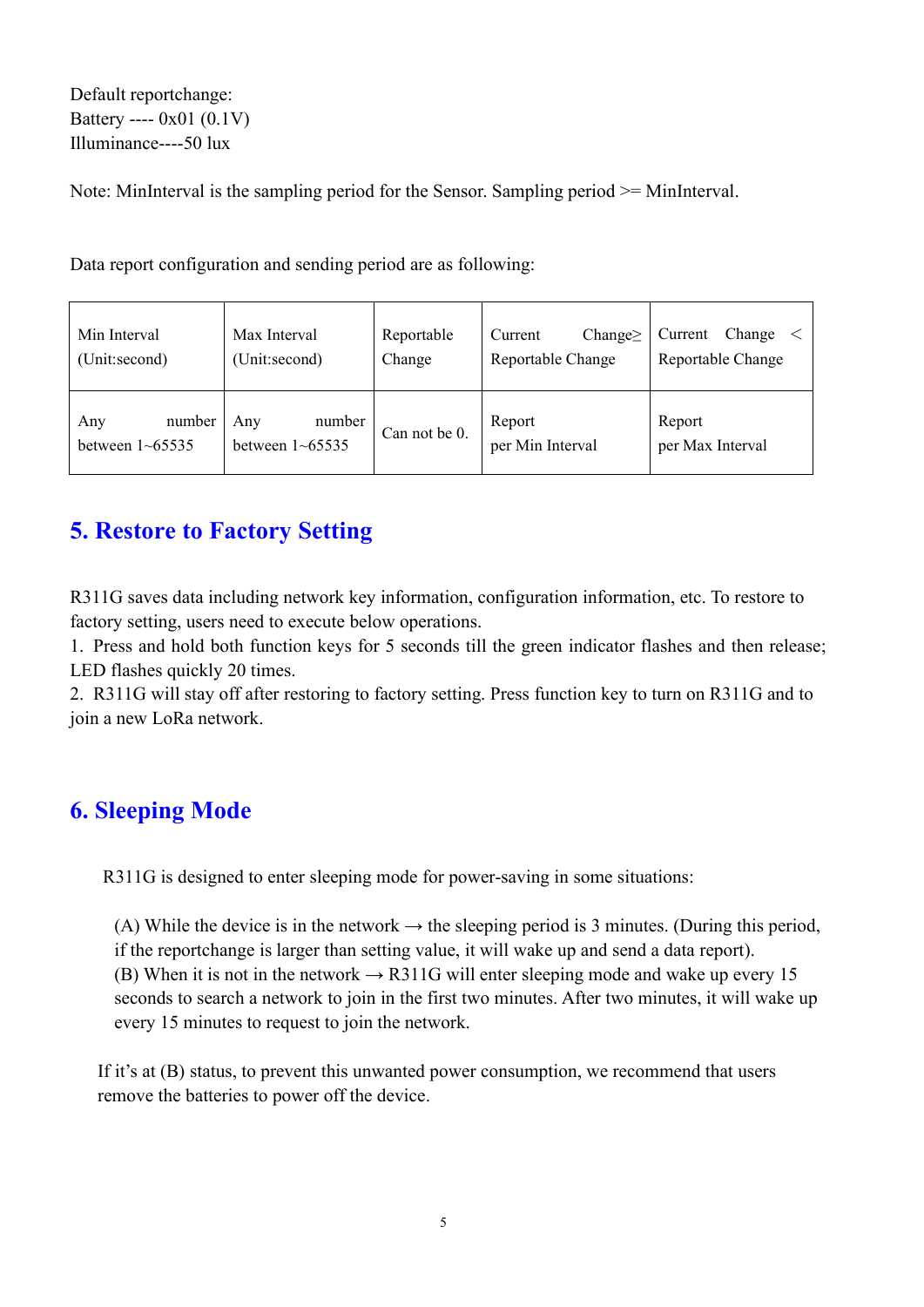<span id="page-5-0"></span>Default reportchange: Battery ---- 0x01 (0.1V) Illuminance----50 lux

Note: MinInterval is the sampling period for the Sensor. Sampling period >= MinInterval.

Data report configuration and sending period are as following:

| Min Interval<br>(Unit:second)           | Max Interval<br>(Unit:second)           | Reportable<br>Change | Change $\geq$<br>Current<br>Reportable Change | Change<br>Current<br>Reportable Change |
|-----------------------------------------|-----------------------------------------|----------------------|-----------------------------------------------|----------------------------------------|
| Any<br>number<br>between $1 \sim 65535$ | number<br>Any<br>between $1 \sim 65535$ | Can not be 0.        | Report<br>per Min Interval                    | Report<br>per Max Interval             |

## **5. Restore to Factory Setting**

R311G saves data including network key information, configuration information, etc. To restore to factory setting, users need to execute below operations.

1. Press and hold both function keys for 5 seconds till the green indicator flashes and then release; LED flashes quickly 20 times.

2. R311G will stay off after restoring to factory setting. Press function key to turn on R311G and to join a new LoRa network.

## **6. Sleeping Mode**

R311G is designed to enter sleeping mode for power-saving in some situations:

(A) While the device is in the network  $\rightarrow$  the sleeping period is 3 minutes. (During this period, if the reportchange is larger than setting value, it will wake up and send a data report). (B) When it is not in the network  $\rightarrow$  R311G will enter sleeping mode and wake up every 15 seconds to search a network to join in the first two minutes. After two minutes, it will wake up every 15 minutes to request to join the network.

If it's at (B) status, to prevent this unwanted power consumption, we recommend that users remove the batteries to power off the device.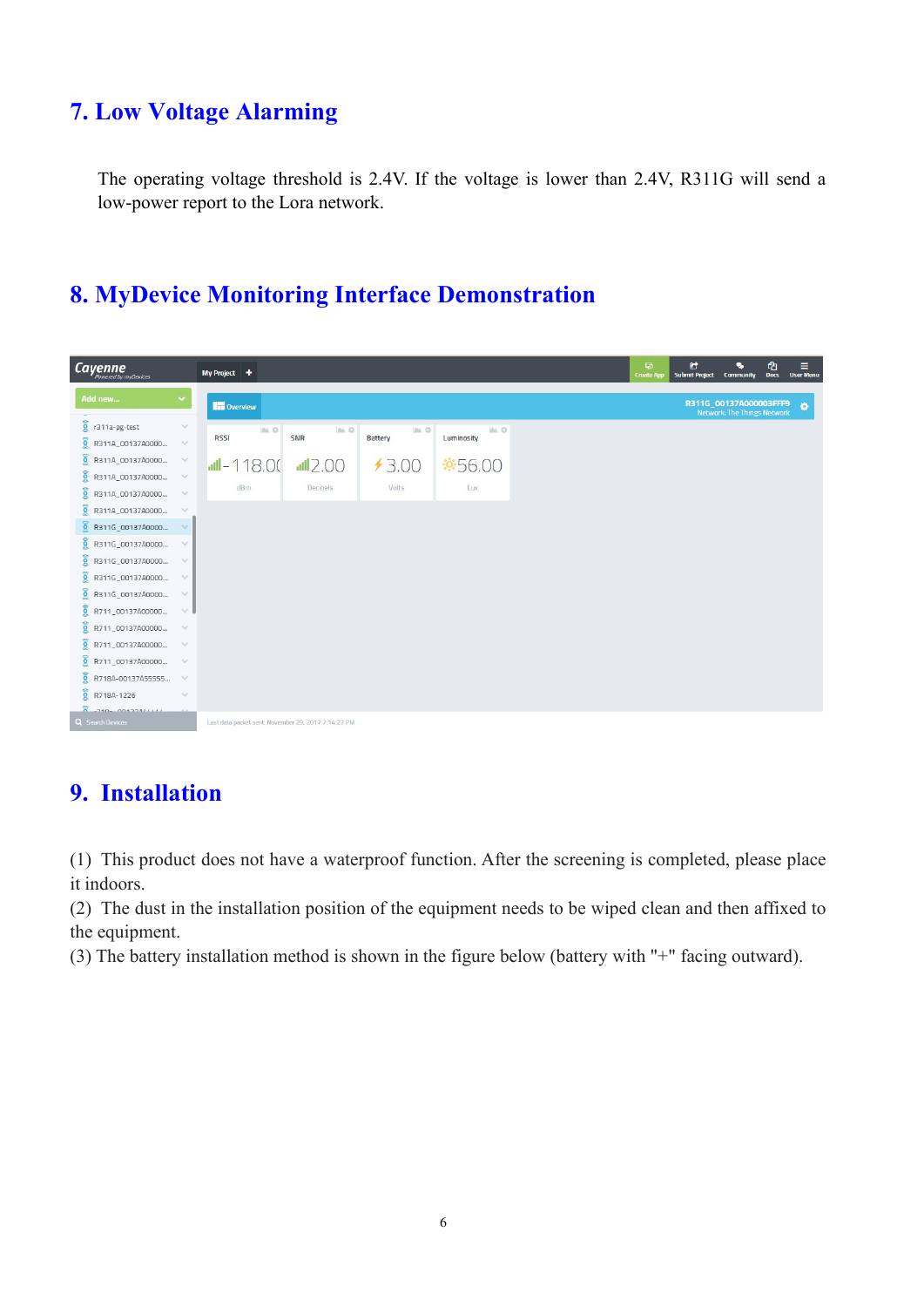## <span id="page-6-1"></span><span id="page-6-0"></span>**7. Low Voltage Alarming**

The operating voltage threshold is 2.4V. If the voltage is lower than 2.4V, R311G will send a low-power report to the Lora network.

## **8. MyDevice Monitoring Interface Demonstration**

| <b>Cayenne</b>                                                                                               | My Project +                                                                               | 届<br><b>Create App</b> | G<br><b>Submit Project Community</b> | O.                                                    | 凸<br><b>Docs User Menu</b> | Ξ  |
|--------------------------------------------------------------------------------------------------------------|--------------------------------------------------------------------------------------------|------------------------|--------------------------------------|-------------------------------------------------------|----------------------------|----|
| Add new                                                                                                      | <b>The Overview</b>                                                                        |                        |                                      | R311G_00137A000003FFF9<br>Network: The Things Network |                            | L. |
| ğ<br>r311a-pg-test<br>$\checkmark$<br>ğ<br>R311A_00137A0000<br>$\checkmark$                                  | <b>上章</b><br>$\cong$<br><b>AL</b> O<br>in 0<br>SNR<br><b>RSSI</b><br>Battery<br>Luminosity |                        |                                      |                                                       |                            |    |
| Î<br>R311A_00137A0000<br>$\check{\phantom{a}}$<br>Î<br>R311A_00137A0000<br>$\vee$                            | $-118.00$<br>112.00<br>$+3.00$                                                             |                        |                                      |                                                       |                            |    |
| ĝ<br>R311A_00137A0000<br>$\checkmark$<br>ğ<br>R311A_00137A0000<br>$\checkmark$                               | dBm<br>Decibels<br>Volts<br>Lux                                                            |                        |                                      |                                                       |                            |    |
| ត្ត<br>R311G_00137A0000<br>$\checkmark$<br>ğ<br>R311G_00137A0000<br>$\checkmark$                             |                                                                                            |                        |                                      |                                                       |                            |    |
| ğ<br>R311G_00137A0000<br>$\checkmark$<br>$\widehat{\mathbf{g}}$<br>R311G_00137A0000<br>$\check{\phantom{a}}$ |                                                                                            |                        |                                      |                                                       |                            |    |
| Î<br>R311G_00137A0000<br>$\checkmark$<br>ğ<br>R711_00137A00000<br>$\checkmark$                               |                                                                                            |                        |                                      |                                                       |                            |    |
| ត្តី<br>R711_00137A00000<br>$\check{\phantom{a}}$<br>ğ<br>R711_00137A00000<br>$\check{\phantom{a}}$          |                                                                                            |                        |                                      |                                                       |                            |    |
| ã<br>R711_00137A00000<br>$\vee$<br>ğ<br>R718A-00137A55555<br>$\check{\phantom{a}}$                           |                                                                                            |                        |                                      |                                                       |                            |    |
| ត្ត<br>R718A-1226<br>$\checkmark$<br>$H = R = R = R + R + R$<br>Q Search Devices                             | Last data packet sent: November 29, 2017 7:14:27 PM                                        |                        |                                      |                                                       |                            |    |

## **9. Installation**

(1) This product does not have a waterproof function. After the screening is completed, please place it indoors.

(2) The dust in the installation position of the equipment needs to be wiped clean and then affixed to the equipment.

(3) The battery installation method is shown in the figure below (battery with "+" facing outward).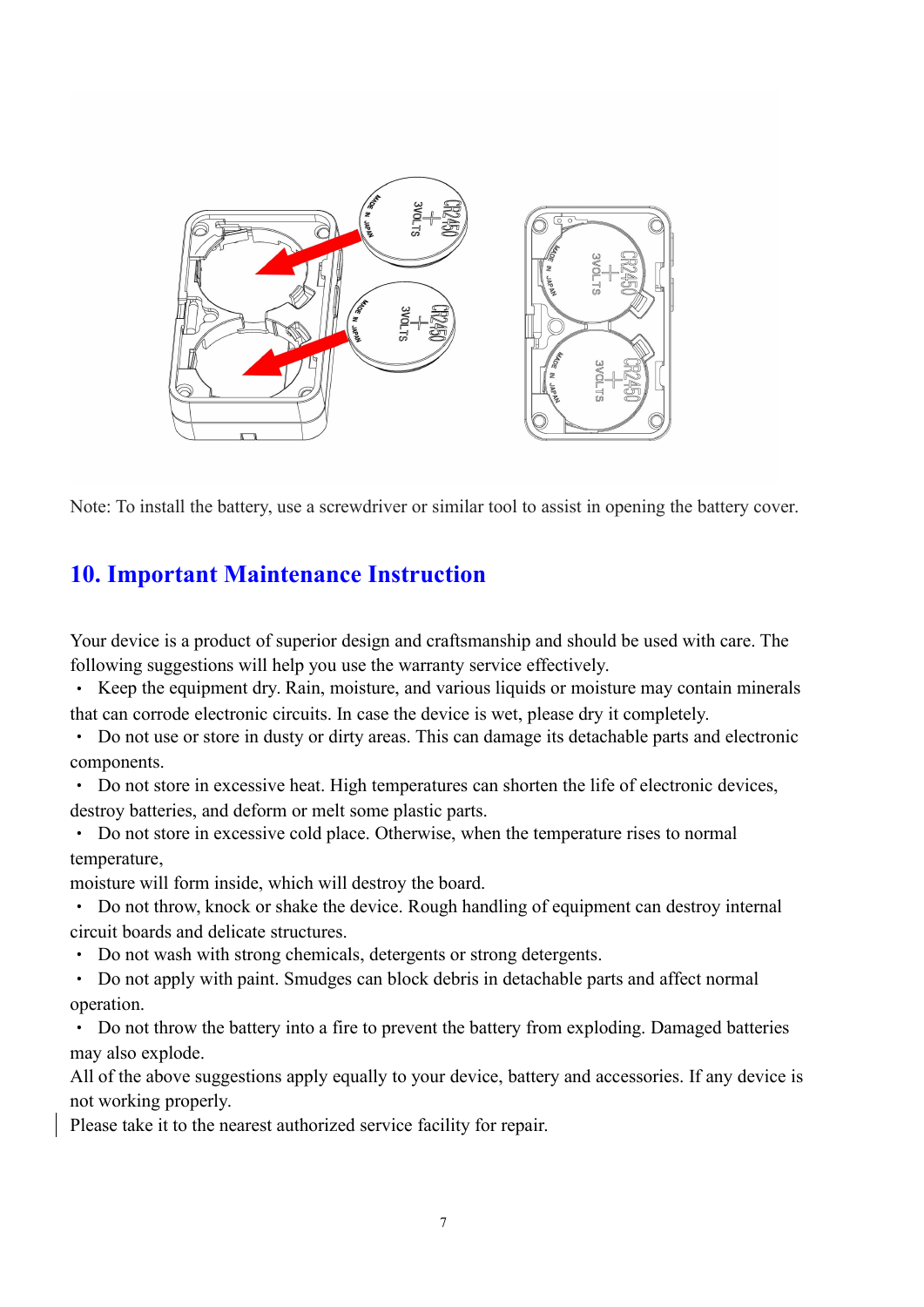<span id="page-7-0"></span>

Note: To install the battery, use a screwdriver or similar tool to assist in opening the battery cover.

## **10. Important Maintenance Instruction**

Your device is a product of superior design and craftsmanship and should be used with care. The following suggestions will help you use the warranty service effectively.

• Keep the equipment dry. Rain, moisture, and various liquids or moisture may contain minerals that can corrode electronic circuits. In case the device is wet, please dry it completely.

• Do not use or store in dusty or dirty areas. This can damage its detachable parts and electronic components.

• Do not store in excessive heat. High temperatures can shorten the life of electronic devices, destroy batteries, and deform or melt some plastic parts.

Do not store in excessive cold place. Otherwise, when the temperature rises to normal temperature,

moisture will form inside, which will destroy the board.

• Do not throw, knock or shake the device. Rough handling of equipment can destroy internal circuit boards and delicate structures.

• Do not wash with strong chemicals, detergents or strong detergents.

• Do not apply with paint. Smudges can block debris in detachable parts and affect normal operation.

• Do not throw the battery into a fire to prevent the battery from exploding. Damaged batteries may also explode.

All of the above suggestions apply equally to your device, battery and accessories. If any device is not working properly.

Please take it to the nearest authorized service facility for repair.